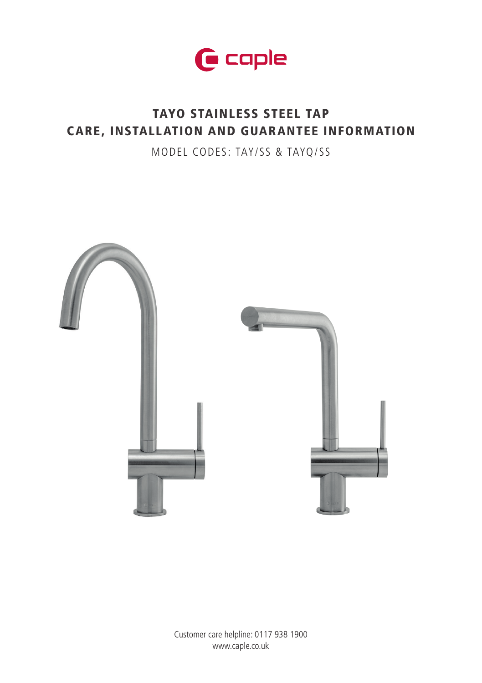

# TAYO STAINLESS STEEL TAP CARE, INSTALLATION AND GUARANTEE INFORMATION

MODEL CODES: TAY/SS & TAYQ/SS

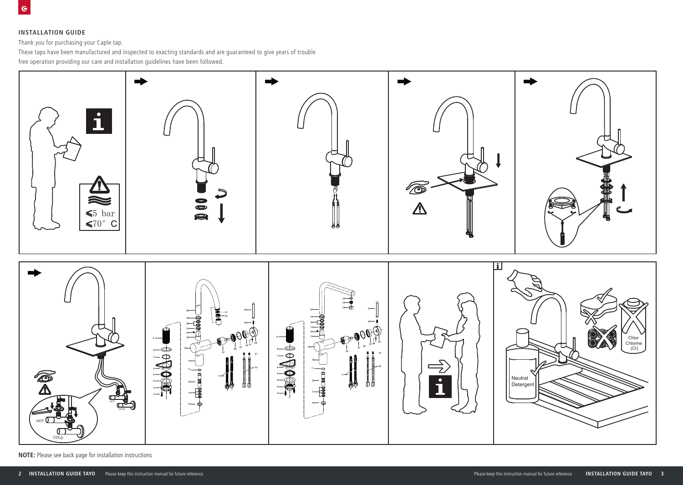## **INSTALLATION GUIDE**

Thank you for purchasing your Caple tap.

These taps have been manufactured and inspected to exacting standards and are guaranteed to give years of trouble free operation providing our care and installation guidelines have been followed.



**NOTE:** Please see back page for installation instructions